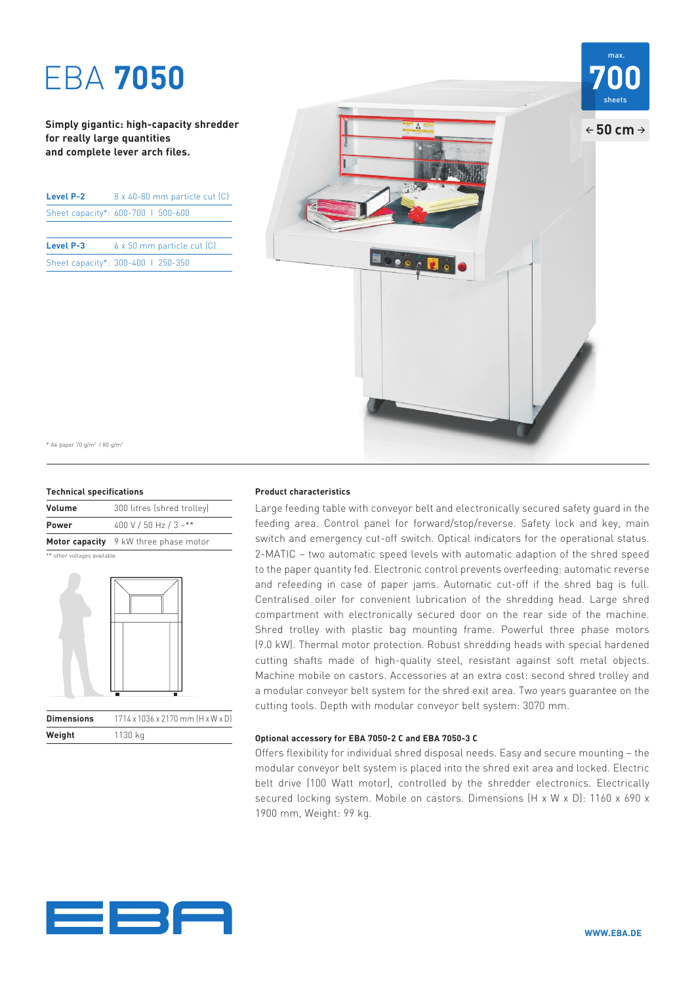# EBA **7050 700**

**Simply gigantic: high-capacity shredder for really large quantities and complete lever arch files.**

| Level P-2 | $8 \times 40 - 80$ mm particle cut $(C)$ |
|-----------|------------------------------------------|
|           | Sheet capacity*: 600-700   500-600       |
|           |                                          |

| Level P-3                          | $6 \times 50$ mm particle cut $(C)$ |
|------------------------------------|-------------------------------------|
| Sheet capacity*: 300-400   250-350 |                                     |



\* A4 paper 70 g/m2 I 80 g/m2

### **Technical specifications**

**Weight** 1130 kg

| Volume       | 300 litres (shred trolley)            |
|--------------|---------------------------------------|
| <b>Power</b> | 400 V / 50 Hz / 3 ~**                 |
|              | Motor capacity 9 kW three phase motor |

\*\* other voltages available



### **Product characteristics**

Large feeding table with conveyor belt and electronically secured safety guard in the feeding area. Control panel for forward/stop/reverse. Safety lock and key, main switch and emergency cut-off switch. Optical indicators for the operational status. 2-MATIC – two automatic speed levels with automatic adaption of the shred speed to the paper quantity fed. Electronic control prevents overfeeding: automatic reverse and refeeding in case of paper jams. Automatic cut-off if the shred bag is full. Centralised oiler for convenient lubrication of the shredding head. Large shred compartment with electronically secured door on the rear side of the machine. Shred trolley with plastic bag mounting frame. Powerful three phase motors (9.0 kW). Thermal motor protection. Robust shredding heads with special hardened cutting shafts made of high-quality steel, resistant against soft metal objects. Machine mobile on castors. Accessories at an extra cost: second shred trolley and a modular conveyor belt system for the shred exit area. Two years guarantee on the cutting tools. Depth with modular conveyor belt system: 3070 mm.

### **Optional accessory for EBA 7050-2 C and EBA 7050-3 C**

Offers flexibility for individual shred disposal needs. Easy and secure mounting – the modular conveyor belt system is placed into the shred exit area and locked. Electric belt drive (100 Watt motor), controlled by the shredder electronics. Electrically secured locking system. Mobile on castors. Dimensions (H x W x D): 1160 x 690 x 1900 mm, Weight: 99 kg.